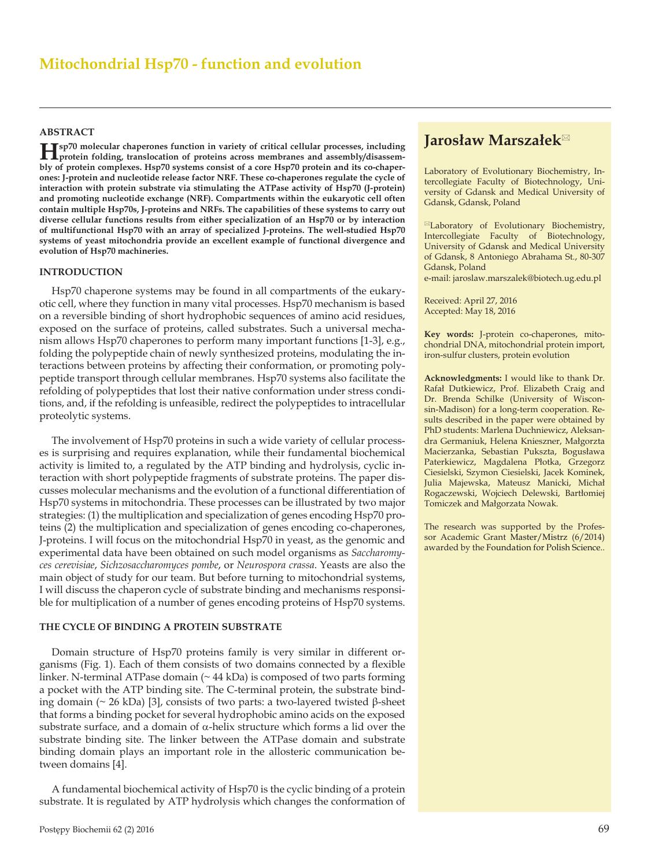#### **ABSTRACT**

**HSp70 molecular chaperones function in variety of critical cellular processes, including protein folding, translocation of proteins across membranes and assembly/disassembly of protein complexes. Hsp70 systems consist of a core Hsp70 protein and its co-chaperones: J-protein and nucleotide release factor NRF. These co-chaperones regulate the cycle of interaction with protein substrate via stimulating the ATPase activity of Hsp70 (J-protein) and promoting nucleotide exchange (NRF). Compartments within the eukaryotic cell often contain multiple Hsp70s, J-proteins and NRFs. The capabilities of these systems to carry out diverse cellular functions results from either specialization of an Hsp70 or by interaction of multifunctional Hsp70 with an array of specialized J-proteins. The well-studied Hsp70 systems of yeast mitochondria provide an excellent example of functional divergence and evolution of Hsp70 machineries.**

#### **INTRODUCTION**

Hsp70 chaperone systems may be found in all compartments of the eukaryotic cell, where they function in many vital processes. Hsp70 mechanism is based on a reversible binding of short hydrophobic sequences of amino acid residues, exposed on the surface of proteins, called substrates. Such a universal mechanism allows Hsp70 chaperones to perform many important functions [1-3], e.g., folding the polypeptide chain of newly synthesized proteins, modulating the interactions between proteins by affecting their conformation, or promoting polypeptide transport through cellular membranes. Hsp70 systems also facilitate the refolding of polypeptides that lost their native conformation under stress conditions, and, if the refolding is unfeasible, redirect the polypeptides to intracellular proteolytic systems.

The involvement of Hsp70 proteins in such a wide variety of cellular processes is surprising and requires explanation, while their fundamental biochemical activity is limited to, a regulated by the ATP binding and hydrolysis, cyclic interaction with short polypeptide fragments of substrate proteins. The paper discusses molecular mechanisms and the evolution of a functional differentiation of Hsp70 systems in mitochondria. These processes can be illustrated by two major strategies: (1) the multiplication and specialization of genes encoding Hsp70 proteins (2) the multiplication and specialization of genes encoding co-chaperones, J-proteins. I will focus on the mitochondrial Hsp70 in yeast, as the genomic and experimental data have been obtained on such model organisms as *Saccharomyces cerevisiae*, *Sichzosaccharomyces pombe*, or *Neurospora crassa*. Yeasts are also the main object of study for our team. But before turning to mitochondrial systems, I will discuss the chaperon cycle of substrate binding and mechanisms responsible for multiplication of a number of genes encoding proteins of Hsp70 systems.

#### **THE CYCLE OF BINDING A PROTEIN SUBSTRATE**

Domain structure of Hsp70 proteins family is very similar in different organisms (Fig. 1). Each of them consists of two domains connected by a flexible linker. N-terminal ATPase domain (~ 44 kDa) is composed of two parts forming a pocket with the ATP binding site. The C-terminal protein, the substrate binding domain (~ 26 kDa) [3], consists of two parts: a two-layered twisted β-sheet that forms a binding pocket for several hydrophobic amino acids on the exposed substrate surface, and a domain of  $\alpha$ -helix structure which forms a lid over the substrate binding site. The linker between the ATPase domain and substrate binding domain plays an important role in the allosteric communication between domains [4].

A fundamental biochemical activity of Hsp70 is the cyclic binding of a protein substrate. It is regulated by ATP hydrolysis which changes the conformation of

## **Jarosław Marszałek**

Laboratory of Evolutionary Biochemistry, Intercollegiate Faculty of Biotechnology, University of Gdansk and Medical University of Gdansk, Gdansk, Poland

 $^{\boxtimes}$ Laboratory of Evolutionary Biochemistry, Intercollegiate Faculty of Biotechnology, University of Gdansk and Medical University of Gdansk, 8 Antoniego Abrahama St., 80-307 Gdansk, Poland

e-mail: jaroslaw.marszalek@biotech.ug.edu.pl

Received: April 27, 2016 Accepted: May 18, 2016

**Key words:** J-protein co-chaperones, mitochondrial DNA, mitochondrial protein import, iron-sulfur clusters, protein evolution

**Acknowledgments:** I would like to thank Dr. Rafał Dutkiewicz, Prof. Elizabeth Craig and Dr. Brenda Schilke (University of Wisconsin-Madison) for a long-term cooperation. Results described in the paper were obtained by PhD students: Marlena Duchniewicz, Aleksandra Germaniuk, Helena Knieszner, Małgorzta Macierzanka, Sebastian Pukszta, Bogusława Paterkiewicz, Magdalena Płotka, Grzegorz Ciesielski, Szymon Ciesielski, Jacek Kominek, Julia Majewska, Mateusz Manicki, Michał Rogaczewski, Wojciech Delewski, Bartłomiej Tomiczek and Małgorzata Nowak.

The research was supported by the Professor Academic Grant Master/Mistrz (6/2014) awarded by the Foundation for Polish Science..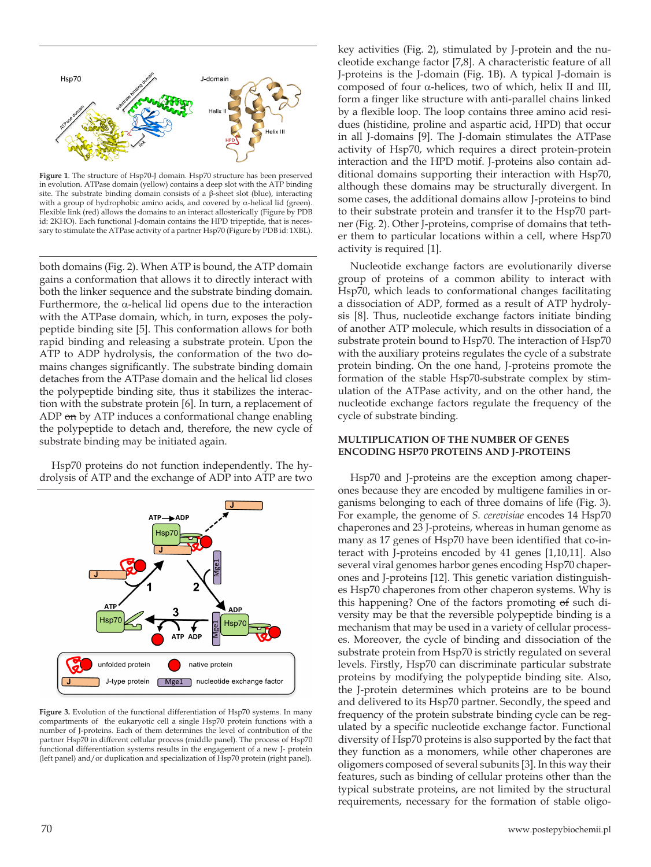

**Figure 1**. The structure of Hsp70-J domain. Hsp70 structure has been preserved in evolution. ATPase domain (yellow) contains a deep slot with the ATP binding site. The substrate binding domain consists of a β-sheet slot (blue), interacting with a group of hydrophobic amino acids, and covered by  $\alpha$ -helical lid (green). Flexible link (red) allows the domains to an interact allosterically (Figure by PDB id: 2KHO). Each functional J-domain contains the HPD tripeptide, that is necessary to stimulate the ATPase activity of a partner Hsp70 (Figure by PDB id: 1XBL).

both domains (Fig. 2). When ATP is bound, the ATP domain gains a conformation that allows it to directly interact with both the linker sequence and the substrate binding domain. Furthermore, the  $\alpha$ -helical lid opens due to the interaction with the ATPase domain, which, in turn, exposes the polypeptide binding site [5]. This conformation allows for both rapid binding and releasing a substrate protein. Upon the ATP to ADP hydrolysis, the conformation of the two domains changes significantly. The substrate binding domain detaches from the ATPase domain and the helical lid closes the polypeptide binding site, thus it stabilizes the interaction with the substrate protein [6]. In turn, a replacement of ADP on by ATP induces a conformational change enabling the polypeptide to detach and, therefore, the new cycle of substrate binding may be initiated again.

Hsp70 proteins do not function independently. The hydrolysis of ATP and the exchange of ADP into ATP are two



Figure 3. Evolution of the functional differentiation of Hsp70 systems. In many compartments of the eukaryotic cell a single Hsp70 protein functions with a number of J-proteins. Each of them determines the level of contribution of the partner Hsp70 in different cellular process (middle panel). The process of Hsp70 functional differentiation systems results in the engagement of a new J- protein (left panel) and/or duplication and specialization of Hsp70 protein (right panel).

key activities (Fig. 2), stimulated by J-protein and the nucleotide exchange factor [7,8]. A characteristic feature of all J-proteins is the J-domain (Fig. 1B). A typical J-domain is composed of four α-helices, two of which, helix II and III, form a finger like structure with anti-parallel chains linked by a flexible loop. The loop contains three amino acid residues (histidine, proline and aspartic acid, HPD) that occur in all J-domains [9]. The J-domain stimulates the ATPase activity of Hsp70, which requires a direct protein-protein interaction and the HPD motif. J-proteins also contain additional domains supporting their interaction with Hsp70, although these domains may be structurally divergent. In some cases, the additional domains allow J-proteins to bind to their substrate protein and transfer it to the Hsp70 partner (Fig. 2). Other J-proteins, comprise of domains that tether them to particular locations within a cell, where Hsp70 activity is required [1].

Nucleotide exchange factors are evolutionarily diverse group of proteins of a common ability to interact with Hsp70, which leads to conformational changes facilitating a dissociation of ADP, formed as a result of ATP hydrolysis [8]. Thus, nucleotide exchange factors initiate binding of another ATP molecule, which results in dissociation of a substrate protein bound to Hsp70. The interaction of Hsp70 with the auxiliary proteins regulates the cycle of a substrate protein binding. On the one hand, J-proteins promote the formation of the stable Hsp70-substrate complex by stimulation of the ATPase activity, and on the other hand, the nucleotide exchange factors regulate the frequency of the cycle of substrate binding.

### **MULTIPLICATION OF THE NUMBER OF GENES ENCODING HSP70 PROTEINS AND J-PROTEINS**

Hsp70 and J-proteins are the exception among chaperones because they are encoded by multigene families in organisms belonging to each of three domains of life (Fig. 3). For example, the genome of *S. cerevisiae* encodes 14 Hsp70 chaperones and 23 J-proteins, whereas in human genome as many as 17 genes of Hsp70 have been identified that co-interact with J-proteins encoded by 41 genes [1,10,11]. Also several viral genomes harbor genes encoding Hsp70 chaperones and J-proteins [12]. This genetic variation distinguishes Hsp70 chaperones from other chaperon systems. Why is this happening? One of the factors promoting of such diversity may be that the reversible polypeptide binding is a mechanism that may be used in a variety of cellular processes. Moreover, the cycle of binding and dissociation of the substrate protein from Hsp70 is strictly regulated on several levels. Firstly, Hsp70 can discriminate particular substrate proteins by modifying the polypeptide binding site. Also, the J-protein determines which proteins are to be bound and delivered to its Hsp70 partner. Secondly, the speed and frequency of the protein substrate binding cycle can be regulated by a specific nucleotide exchange factor. Functional diversity of Hsp70 proteins is also supported by the fact that they function as a monomers, while other chaperones are oligomers composed of several subunits [3]. In this way their features, such as binding of cellular proteins other than the typical substrate proteins, are not limited by the structural requirements, necessary for the formation of stable oligo-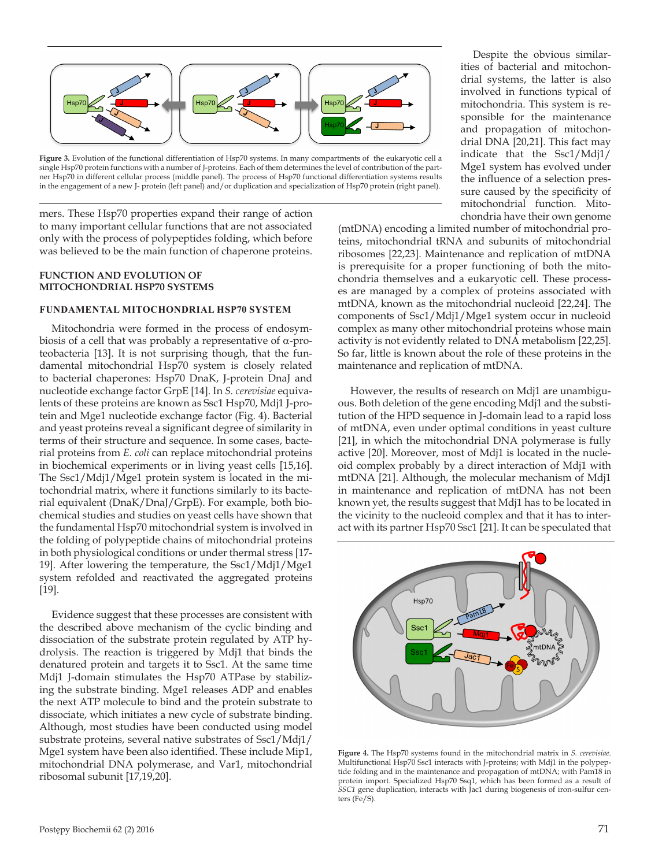

**Figure 3.** Evolution of the functional differentiation of Hsp70 systems. In many compartments of the eukaryotic cell a single Hsp70 protein functions with a number of J-proteins. Each of them determines the level of contribution of the partner Hsp70 in different cellular process (middle panel). The process of Hsp70 functional differentiation systems results in the engagement of a new J- protein (left panel) and/or duplication and specialization of Hsp70 protein (right panel).

mers. These Hsp70 properties expand their range of action to many important cellular functions that are not associated only with the process of polypeptides folding, which before was believed to be the main function of chaperone proteins.

#### **FUNCTION AND EVOLUTION OF MITOCHONDRIAL HSP70 SYSTEMS**

#### **FUNDAMENTAL MITOCHONDRIAL HSP70 SYSTEM**

Mitochondria were formed in the process of endosymbiosis of a cell that was probably a representative of  $α$ -proteobacteria [13]. It is not surprising though, that the fundamental mitochondrial Hsp70 system is closely related to bacterial chaperones: Hsp70 DnaK, J-protein DnaJ and nucleotide exchange factor GrpE [14]. In *S. cerevisiae* equivalents of these proteins are known as Ssc1 Hsp70, Mdj1 J-protein and Mge1 nucleotide exchange factor (Fig. 4). Bacterial and yeast proteins reveal a significant degree of similarity in terms of their structure and sequence. In some cases, bacterial proteins from *E. coli* can replace mitochondrial proteins in biochemical experiments or in living yeast cells [15,16]. The Ssc1/Mdj1/Mge1 protein system is located in the mitochondrial matrix, where it functions similarly to its bacterial equivalent (DnaK/DnaJ/GrpE). For example, both biochemical studies and studies on yeast cells have shown that the fundamental Hsp70 mitochondrial system is involved in the folding of polypeptide chains of mitochondrial proteins in both physiological conditions or under thermal stress [17- 19]. After lowering the temperature, the Ssc1/Mdj1/Mge1 system refolded and reactivated the aggregated proteins [19].

Evidence suggest that these processes are consistent with the described above mechanism of the cyclic binding and dissociation of the substrate protein regulated by ATP hydrolysis. The reaction is triggered by Mdj1 that binds the denatured protein and targets it to Ssc1. At the same time Mdj1 J-domain stimulates the Hsp70 ATPase by stabilizing the substrate binding. Mge1 releases ADP and enables the next ATP molecule to bind and the protein substrate to dissociate, which initiates a new cycle of substrate binding. Although, most studies have been conducted using model substrate proteins, several native substrates of Ssc1/Mdj1/ Mge1 system have been also identified. These include Mip1, mitochondrial DNA polymerase, and Var1, mitochondrial ribosomal subunit [17,19,20].

Despite the obvious similarities of bacterial and mitochondrial systems, the latter is also involved in functions typical of mitochondria. This system is responsible for the maintenance and propagation of mitochondrial DNA [20,21]. This fact may indicate that the Ssc1/Mdj1/ Mge1 system has evolved under the influence of a selection pressure caused by the specificity of mitochondrial function. Mitochondria have their own genome

(mtDNA) encoding a limited number of mitochondrial proteins, mitochondrial tRNA and subunits of mitochondrial ribosomes [22,23]. Maintenance and replication of mtDNA is prerequisite for a proper functioning of both the mitochondria themselves and a eukaryotic cell. These processes are managed by a complex of proteins associated with mtDNA, known as the mitochondrial nucleoid [22,24]. The components of Ssc1/Mdj1/Mge1 system occur in nucleoid complex as many other mitochondrial proteins whose main activity is not evidently related to DNA metabolism [22,25]. So far, little is known about the role of these proteins in the maintenance and replication of mtDNA.

However, the results of research on Mdj1 are unambiguous. Both deletion of the gene encoding Mdj1 and the substitution of the HPD sequence in J-domain lead to a rapid loss of mtDNA, even under optimal conditions in yeast culture [21], in which the mitochondrial DNA polymerase is fully active [20]. Moreover, most of Mdj1 is located in the nucleoid complex probably by a direct interaction of Mdj1 with mtDNA [21]. Although, the molecular mechanism of Mdj1 in maintenance and replication of mtDNA has not been known yet, the results suggest that Mdj1 has to be located in the vicinity to the nucleoid complex and that it has to interact with its partner Hsp70 Ssc1 [21]. It can be speculated that



**Figure 4.** The Hsp70 systems found in the mitochondrial matrix in *S. cerevisiae*. Multifunctional Hsp70 Ssc1 interacts with J-proteins; with Mdj1 in the polypeptide folding and in the maintenance and propagation of mtDNA; with Pam18 in protein import. Specialized Hsp70 Ssq1, which has been formed as a result of *SSC1* gene duplication, interacts with Jac1 during biogenesis of iron-sulfur centers (Fe/S).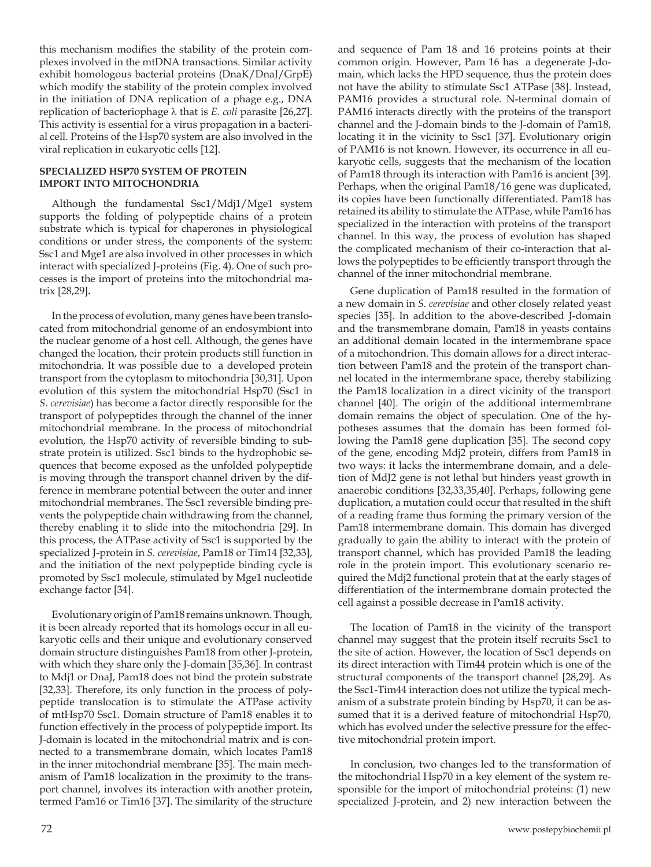this mechanism modifies the stability of the protein complexes involved in the mtDNA transactions. Similar activity exhibit homologous bacterial proteins (DnaK/DnaJ/GrpE) which modify the stability of the protein complex involved in the initiation of DNA replication of a phage e.g., DNA replication of bacteriophage λ that is *E. coli* parasite [26,27]. This activity is essential for a virus propagation in a bacterial cell. Proteins of the Hsp70 system are also involved in the viral replication in eukaryotic cells [12].

### **SPECIALIZED HSP70 SYSTEM OF PROTEIN IMPORT INTO MITOCHONDRIA**

Although the fundamental Ssc1/Mdj1/Mge1 system supports the folding of polypeptide chains of a protein substrate which is typical for chaperones in physiological conditions or under stress, the components of the system: Ssc1 and Mge1 are also involved in other processes in which interact with specialized J-proteins (Fig. 4). One of such processes is the import of proteins into the mitochondrial matrix [28,29]**.**

In the process of evolution, many genes have been translocated from mitochondrial genome of an endosymbiont into the nuclear genome of a host cell. Although, the genes have changed the location, their protein products still function in mitochondria. It was possible due to a developed protein transport from the cytoplasm to mitochondria [30,31]. Upon evolution of this system the mitochondrial Hsp70 (Ssc1 in *S. cerevisiae*) has become a factor directly responsible for the transport of polypeptides through the channel of the inner mitochondrial membrane. In the process of mitochondrial evolution, the Hsp70 activity of reversible binding to substrate protein is utilized. Ssc1 binds to the hydrophobic sequences that become exposed as the unfolded polypeptide is moving through the transport channel driven by the difference in membrane potential between the outer and inner mitochondrial membranes. The Ssc1 reversible binding prevents the polypeptide chain withdrawing from the channel, thereby enabling it to slide into the mitochondria [29]. In this process, the ATPase activity of Ssc1 is supported by the specialized J-protein in *S. cerevisiae*, Pam18 or Tim14 [32,33], and the initiation of the next polypeptide binding cycle is promoted by Ssc1 molecule, stimulated by Mge1 nucleotide exchange factor [34].

Evolutionary origin of Pam18 remains unknown. Though, it is been already reported that its homologs occur in all eukaryotic cells and their unique and evolutionary conserved domain structure distinguishes Pam18 from other J-protein, with which they share only the J-domain [35,36]. In contrast to Mdj1 or DnaJ, Pam18 does not bind the protein substrate [32,33]. Therefore, its only function in the process of polypeptide translocation is to stimulate the ATPase activity of mtHsp70 Ssc1. Domain structure of Pam18 enables it to function effectively in the process of polypeptide import. Its J-domain is located in the mitochondrial matrix and is connected to a transmembrane domain, which locates Pam18 in the inner mitochondrial membrane [35]. The main mechanism of Pam18 localization in the proximity to the transport channel, involves its interaction with another protein, termed Pam16 or Tim16 [37]. The similarity of the structure and sequence of Pam 18 and 16 proteins points at their common origin. However, Pam 16 has a degenerate J-domain, which lacks the HPD sequence, thus the protein does not have the ability to stimulate Ssc1 ATPase [38]. Instead, PAM16 provides a structural role. N-terminal domain of PAM16 interacts directly with the proteins of the transport channel and the J-domain binds to the J-domain of Pam18, locating it in the vicinity to Ssc1 [37]. Evolutionary origin of PAM16 is not known. However, its occurrence in all eukaryotic cells, suggests that the mechanism of the location of Pam18 through its interaction with Pam16 is ancient [39]. Perhaps, when the original Pam18/16 gene was duplicated, its copies have been functionally differentiated. Pam18 has retained its ability to stimulate the ATPase, while Pam16 has specialized in the interaction with proteins of the transport channel. In this way, the process of evolution has shaped the complicated mechanism of their co-interaction that allows the polypeptides to be efficiently transport through the channel of the inner mitochondrial membrane.

Gene duplication of Pam18 resulted in the formation of a new domain in *S. cerevisiae* and other closely related yeast species [35]. In addition to the above-described J-domain and the transmembrane domain, Pam18 in yeasts contains an additional domain located in the intermembrane space of a mitochondrion. This domain allows for a direct interaction between Pam18 and the protein of the transport channel located in the intermembrane space, thereby stabilizing the Pam18 localization in a direct vicinity of the transport channel [40]. The origin of the additional intermembrane domain remains the object of speculation. One of the hypotheses assumes that the domain has been formed following the Pam18 gene duplication [35]. The second copy of the gene, encoding Mdj2 protein, differs from Pam18 in two ways: it lacks the intermembrane domain, and a deletion of MdJ2 gene is not lethal but hinders yeast growth in anaerobic conditions [32,33,35,40]. Perhaps, following gene duplication, a mutation could occur that resulted in the shift of a reading frame thus forming the primary version of the Pam18 intermembrane domain. This domain has diverged gradually to gain the ability to interact with the protein of transport channel, which has provided Pam18 the leading role in the protein import. This evolutionary scenario required the Mdj2 functional protein that at the early stages of differentiation of the intermembrane domain protected the cell against a possible decrease in Pam18 activity.

The location of Pam18 in the vicinity of the transport channel may suggest that the protein itself recruits Ssc1 to the site of action. However, the location of Ssc1 depends on its direct interaction with Tim44 protein which is one of the structural components of the transport channel [28,29]. As the Ssc1-Tim44 interaction does not utilize the typical mechanism of a substrate protein binding by Hsp70, it can be assumed that it is a derived feature of mitochondrial Hsp70, which has evolved under the selective pressure for the effective mitochondrial protein import.

In conclusion, two changes led to the transformation of the mitochondrial Hsp70 in a key element of the system responsible for the import of mitochondrial proteins: (1) new specialized J-protein, and 2) new interaction between the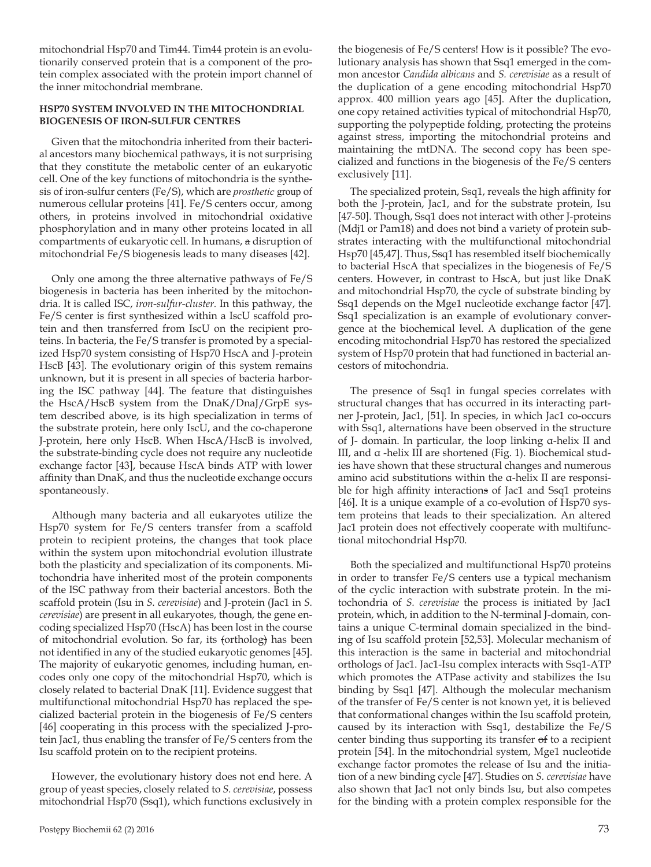mitochondrial Hsp70 and Tim44. Tim44 protein is an evolutionarily conserved protein that is a component of the protein complex associated with the protein import channel of the inner mitochondrial membrane.

#### **HSP70 SYSTEM INVOLVED IN THE MITOCHONDRIAL BIOGENESIS OF IRON-SULFUR CENTRES**

Given that the mitochondria inherited from their bacterial ancestors many biochemical pathways, it is not surprising that they constitute the metabolic center of an eukaryotic cell. One of the key functions of mitochondria is the synthesis of iron-sulfur centers (Fe/S), which are *prosthetic* group of numerous cellular proteins [41]. Fe/S centers occur, among others, in proteins involved in mitochondrial oxidative phosphorylation and in many other proteins located in all compartments of eukaryotic cell. In humans, a disruption of mitochondrial Fe/S biogenesis leads to many diseases [42].

Only one among the three alternative pathways of Fe/S biogenesis in bacteria has been inherited by the mitochondria. It is called ISC, *iron*-*sulfur-cluster.* In this pathway, the Fe/S center is first synthesized within a IscU scaffold protein and then transferred from IscU on the recipient proteins. In bacteria, the Fe/S transfer is promoted by a specialized Hsp70 system consisting of Hsp70 HscA and J-protein HscB [43]. The evolutionary origin of this system remains unknown, but it is present in all species of bacteria harboring the ISC pathway [44]. The feature that distinguishes the HscA/HscB system from the DnaK/DnaJ/GrpE system described above, is its high specialization in terms of the substrate protein, here only IscU, and the co-chaperone J-protein, here only HscB. When HscA/HscB is involved, the substrate-binding cycle does not require any nucleotide exchange factor [43], because HscA binds ATP with lower affinity than DnaK, and thus the nucleotide exchange occurs spontaneously.

Although many bacteria and all eukaryotes utilize the Hsp70 system for Fe/S centers transfer from a scaffold protein to recipient proteins, the changes that took place within the system upon mitochondrial evolution illustrate both the plasticity and specialization of its components. Mitochondria have inherited most of the protein components of the ISC pathway from their bacterial ancestors. Both the scaffold protein (Isu in *S. cerevisiae*) and J-protein (Jac1 in *S. cerevisiae*) are present in all eukaryotes, though, the gene encoding specialized Hsp70 (HscA) has been lost in the course of mitochondrial evolution. So far, its (ortholog) has been not identified in any of the studied eukaryotic genomes [45]. The majority of eukaryotic genomes, including human, encodes only one copy of the mitochondrial Hsp70, which is closely related to bacterial DnaK [11]. Evidence suggest that multifunctional mitochondrial Hsp70 has replaced the specialized bacterial protein in the biogenesis of Fe/S centers [46] cooperating in this process with the specialized J-protein Jac1, thus enabling the transfer of Fe/S centers from the Isu scaffold protein on to the recipient proteins.

However, the evolutionary history does not end here. A group of yeast species, closely related to *S. cerevisiae*, possess mitochondrial Hsp70 (Ssq1), which functions exclusively in

the biogenesis of Fe/S centers! How is it possible? The evolutionary analysis has shown that Ssq1 emerged in the common ancestor *Candida albicans* and *S. cerevisiae* as a result of the duplication of a gene encoding mitochondrial Hsp70 approx. 400 million years ago [45]. After the duplication, one copy retained activities typical of mitochondrial Hsp70, supporting the polypeptide folding, protecting the proteins against stress, importing the mitochondrial proteins and maintaining the mtDNA. The second copy has been specialized and functions in the biogenesis of the Fe/S centers exclusively [11].

The specialized protein, Ssq1, reveals the high affinity for both the J-protein, Jac1, and for the substrate protein, Isu [47-50]. Though, Ssq1 does not interact with other J-proteins (Mdj1 or Pam18) and does not bind a variety of protein substrates interacting with the multifunctional mitochondrial Hsp70 [45,47]. Thus, Ssq1 has resembled itself biochemically to bacterial HscA that specializes in the biogenesis of Fe/S centers. However, in contrast to HscA, but just like DnaK and mitochondrial Hsp70, the cycle of substrate binding by Ssq1 depends on the Mge1 nucleotide exchange factor [47]. Ssq1 specialization is an example of evolutionary convergence at the biochemical level. A duplication of the gene encoding mitochondrial Hsp70 has restored the specialized system of Hsp70 protein that had functioned in bacterial ancestors of mitochondria.

The presence of Ssq1 in fungal species correlates with structural changes that has occurred in its interacting partner J-protein, Jac1, [51]. In species, in which Jac1 co-occurs with Ssq1, alternations have been observed in the structure of J- domain. In particular, the loop linking α-helix II and III, and α -helix III are shortened (Fig. 1). Biochemical studies have shown that these structural changes and numerous amino acid substitutions within the α-helix II are responsible for high affinity interactions of Jac1 and Ssq1 proteins [46]. It is a unique example of a co-evolution of Hsp70 system proteins that leads to their specialization. An altered Jac1 protein does not effectively cooperate with multifunctional mitochondrial Hsp70.

Both the specialized and multifunctional Hsp70 proteins in order to transfer Fe/S centers use a typical mechanism of the cyclic interaction with substrate protein. In the mitochondria of *S. cerevisiae* the process is initiated by Jac1 protein, which, in addition to the N-terminal J-domain, contains a unique C-terminal domain specialized in the binding of Isu scaffold protein [52,53]. Molecular mechanism of this interaction is the same in bacterial and mitochondrial orthologs of Jac1. Jac1-Isu complex interacts with Ssq1-ATP which promotes the ATPase activity and stabilizes the Isu binding by Ssq1 [47]. Although the molecular mechanism of the transfer of Fe/S center is not known yet, it is believed that conformational changes within the Isu scaffold protein, caused by its interaction with Ssq1, destabilize the Fe/S center binding thus supporting its transfer of to a recipient protein [54]. In the mitochondrial system, Mge1 nucleotide exchange factor promotes the release of Isu and the initiation of a new binding cycle [47]. Studies on *S. cerevisiae* have also shown that Jac1 not only binds Isu, but also competes for the binding with a protein complex responsible for the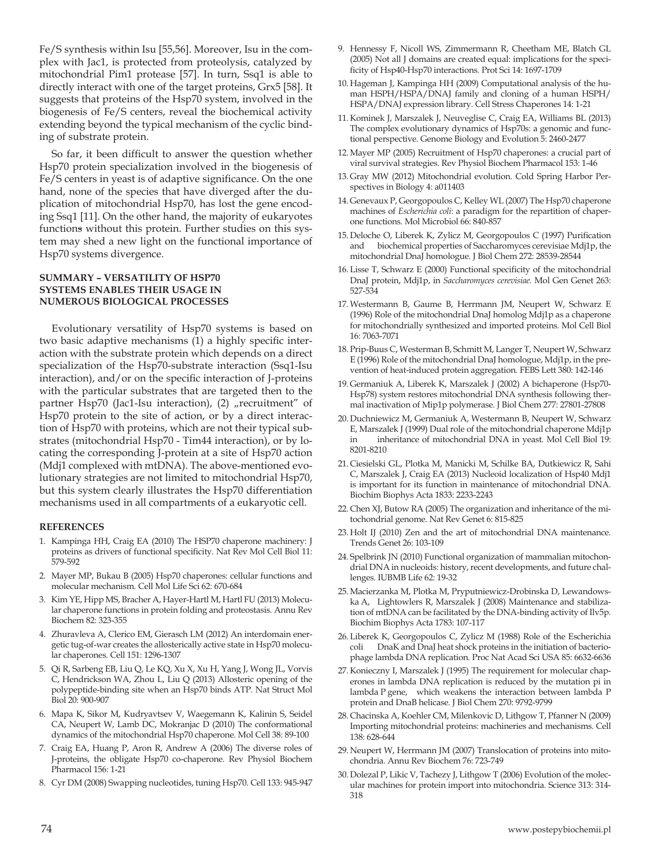Fe/S synthesis within Isu [55,56]. Moreover, Isu in the complex with Jac1, is protected from proteolysis, catalyzed by mitochondrial Pim1 protease [57]. In turn, Ssq1 is able to directly interact with one of the target proteins, Grx5 [58]. It suggests that proteins of the Hsp70 system, involved in the biogenesis of Fe/S centers, reveal the biochemical activity extending beyond the typical mechanism of the cyclic binding of substrate protein.

So far, it been difficult to answer the question whether Hsp70 protein specialization involved in the biogenesis of Fe/S centers in yeast is of adaptive significance. On the one hand, none of the species that have diverged after the duplication of mitochondrial Hsp70, has lost the gene encoding Ssq1 [11]. On the other hand, the majority of eukaryotes functions without this protein. Further studies on this system may shed a new light on the functional importance of Hsp70 systems divergence.

#### **SUMMARY – VERSATILITY OF HSP70 SYSTEMS ENABLES THEIR USAGE IN NUMEROUS BIOLOGICAL PROCESSES**

Evolutionary versatility of Hsp70 systems is based on two basic adaptive mechanisms (1) a highly specific interaction with the substrate protein which depends on a direct specialization of the Hsp70-substrate interaction (Ssq1-Isu interaction), and/or on the specific interaction of J-proteins with the particular substrates that are targeted then to the partner Hsp70 (Jac1-Isu interaction), (2) "recruitment" of Hsp70 protein to the site of action, or by a direct interaction of Hsp70 with proteins, which are not their typical substrates (mitochondrial Hsp70 - Tim44 interaction), or by locating the corresponding J-protein at a site of Hsp70 action (Mdj1 complexed with mtDNA). The above-mentioned evolutionary strategies are not limited to mitochondrial Hsp70, but this system clearly illustrates the Hsp70 differentiation mechanisms used in all compartments of a eukaryotic cell.

#### **REFERENCES**

- 1. Kampinga HH, Craig EA (2010) The HSP70 chaperone machinery: J proteins as drivers of functional specificity*.* Nat Rev Mol Cell Biol 11: 579-592
- 2. Mayer MP, Bukau B (2005) Hsp70 chaperones: cellular functions and molecular mechanism*.* Cell Mol Life Sci 62: 670-684
- 3. Kim YE, Hipp MS, Bracher A, Hayer-Hartl M, Hartl FU (2013) Molecular chaperone functions in protein folding and proteostasis*.* Annu Rev Biochem 82: 323-355
- 4. Zhuravleva A, Clerico EM, Gierasch LM (2012) An interdomain energetic tug-of-war creates the allosterically active state in Hsp70 molecular chaperones*.* Cell 151: 1296-1307
- 5. Qi R, Sarbeng EB, Liu Q, Le KQ, Xu X, Xu H, Yang J, Wong JL, Vorvis C, Hendrickson WA, Zhou L, Liu Q (2013) Allosteric opening of the polypeptide-binding site when an Hsp70 binds ATP*.* Nat Struct Mol Biol 20: 900-907
- 6. Mapa K, Sikor M, Kudryavtsev V, Waegemann K, Kalinin S, Seidel CA, Neupert W, Lamb DC, Mokranjac D (2010) The conformational dynamics of the mitochondrial Hsp70 chaperone*.* Mol Cell 38: 89-100
- 7. Craig EA, Huang P, Aron R, Andrew A (2006) The diverse roles of J-proteins, the obligate Hsp70 co-chaperone*.* Rev Physiol Biochem Pharmacol 156: 1-21
- 8. Cyr DM (2008) Swapping nucleotides, tuning Hsp70*.* Cell 133: 945-947
- 9. Hennessy F, Nicoll WS, Zimmermann R, Cheetham ME, Blatch GL (2005) Not all J domains are created equal: implications for the specificity of Hsp40-Hsp70 interactions*.* Prot Sci 14: 1697-1709
- 10. Hageman J, Kampinga HH (2009) Computational analysis of the human HSPH/HSPA/DNAJ family and cloning of a human HSPH/ HSPA/DNAJ expression library*.* Cell Stress Chaperones 14: 1-21
- 11. Kominek J, Marszalek J, Neuveglise C, Craig EA, Williams BL (2013) The complex evolutionary dynamics of Hsp70s: a genomic and functional perspective*.* Genome Biology and Evolution 5: 2460-2477
- 12.Mayer MP (2005) Recruitment of Hsp70 chaperones: a crucial part of viral survival strategies*.* Rev Physiol Biochem Pharmacol 153: 1-46
- 13. Gray MW (2012) Mitochondrial evolution*.* Cold Spring Harbor Perspectives in Biology 4: a011403
- 14. Genevaux P, Georgopoulos C, Kelley WL (2007) The Hsp70 chaperone machines of *Escherichia coli*: a paradigm for the repartition of chaperone functions*.* Mol Microbiol 66: 840-857
- 15. Deloche O, Liberek K, Zylicz M, Georgopoulos C (1997) Purification and biochemical properties of Saccharomyces cerevisiae Mdj1p, the mitochondrial DnaJ homologue*.* J Biol Chem 272: 28539-28544
- 16. Lisse T, Schwarz E (2000) Functional specificity of the mitochondrial DnaJ protein, Mdj1p, in *Saccharomyces cerevisiae.* Mol Gen Genet 263: 527-534
- 17.Westermann B, Gaume B, Herrmann JM, Neupert W, Schwarz E (1996) Role of the mitochondrial DnaJ homolog Mdj1p as a chaperone for mitochondrially synthesized and imported proteins*.* Mol Cell Biol 16: 7063-7071
- 18. Prip-Buus C, Westerman B, Schmitt M, Langer T, Neupert W, Schwarz E (1996) Role of the mitochondrial DnaJ homologue, Mdj1p, in the prevention of heat-induced protein aggregation*.* FEBS Lett 380: 142-146
- 19. Germaniuk A, Liberek K, Marszalek J (2002) A bichaperone (Hsp70- Hsp78) system restores mitochondrial DNA synthesis following thermal inactivation of Mip1p polymerase*.* J Biol Chem 277: 27801-27808
- 20. Duchniewicz M, Germaniuk A, Westermann B, Neupert W, Schwarz E, Marszalek J (1999) Dual role of the mitochondrial chaperone Mdj1p in inheritance of mitochondrial DNA in yeast*.* Mol Cell Biol 19: 8201-8210
- 21. Ciesielski GL, Plotka M, Manicki M, Schilke BA, Dutkiewicz R, Sahi C, Marszalek J, Craig EA (2013) Nucleoid localization of Hsp40 Mdj1 is important for its function in maintenance of mitochondrial DNA*.* Biochim Biophys Acta 1833: 2233-2243
- 22. Chen XJ, Butow RA (2005) The organization and inheritance of the mitochondrial genome*.* Nat Rev Genet 6: 815-825
- 23. Holt IJ (2010) Zen and the art of mitochondrial DNA maintenance*.* Trends Genet 26: 103-109
- 24. Spelbrink JN (2010) Functional organization of mammalian mitochondrial DNA in nucleoids: history, recent developments, and future challenges*.* IUBMB Life 62: 19-32
- 25.Macierzanka M, Plotka M, Pryputniewicz-Drobinska D, Lewandowska A, Lightowlers R, Marszalek J (2008) Maintenance and stabilization of mtDNA can be facilitated by the DNA-binding activity of Ilv5p*.* Biochim Biophys Acta 1783: 107-117
- 26. Liberek K, Georgopoulos C, Zylicz M (1988) Role of the Escherichia coli DnaK and DnaJ heat shock proteins in the initiation of bacteriophage lambda DNA replication*.* Proc Nat Acad Sci USA 85: 6632-6636
- 27. Konieczny I, Marszalek J (1995) The requirement for molecular chaperones in lambda DNA replication is reduced by the mutation pi in lambda P gene, which weakens the interaction between lambda P protein and DnaB helicase*.* J Biol Chem 270: 9792-9799
- 28. Chacinska A, Koehler CM, Milenkovic D, Lithgow T, Pfanner N (2009) Importing mitochondrial proteins: machineries and mechanisms*.* Cell 138: 628-644
- 29. Neupert W, Herrmann JM (2007) Translocation of proteins into mitochondria*.* Annu Rev Biochem 76: 723-749
- 30. Dolezal P, Likic V, Tachezy J, Lithgow T (2006) Evolution of the molecular machines for protein import into mitochondria*.* Science 313: 314- 318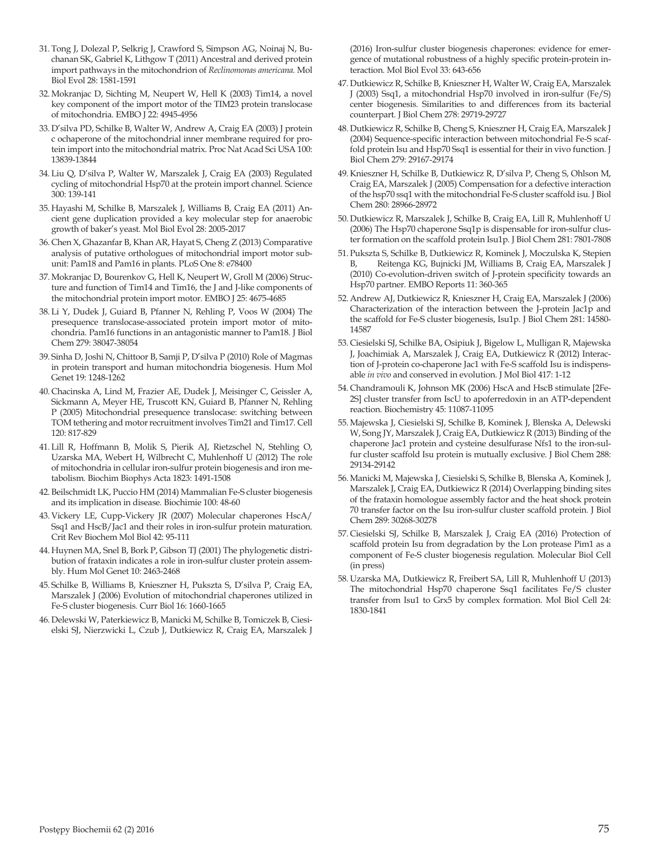- 31. Tong J, Dolezal P, Selkrig J, Crawford S, Simpson AG, Noinaj N, Buchanan SK, Gabriel K, Lithgow T (2011) Ancestral and derived protein import pathways in the mitochondrion of *Reclinomonas americana.* Mol Biol Evol 28: 1581-1591
- 32.Mokranjac D, Sichting M, Neupert W, Hell K (2003) Tim14, a novel key component of the import motor of the TIM23 protein translocase of mitochondria*.* EMBO J 22: 4945-4956
- 33. D'silva PD, Schilke B, Walter W, Andrew A, Craig EA (2003) J protein c ochaperone of the mitochondrial inner membrane required for protein import into the mitochondrial matrix*.* Proc Nat Acad Sci USA 100: 13839-13844
- 34. Liu Q, D'silva P, Walter W, Marszalek J, Craig EA (2003) Regulated cycling of mitochondrial Hsp70 at the protein import channel*.* Science 300: 139-141
- 35. Hayashi M, Schilke B, Marszalek J, Williams B, Craig EA (2011) Ancient gene duplication provided a key molecular step for anaerobic growth of baker's yeast*.* Mol Biol Evol 28: 2005-2017
- 36. Chen X, Ghazanfar B, Khan AR, Hayat S, Cheng Z (2013) Comparative analysis of putative orthologues of mitochondrial import motor subunit: Pam18 and Pam16 in plants*.* PLoS One 8: e78400
- 37.Mokranjac D, Bourenkov G, Hell K, Neupert W, Groll M (2006) Structure and function of Tim14 and Tim16, the J and J-like components of the mitochondrial protein import motor*.* EMBO J 25: 4675-4685
- 38. Li Y, Dudek J, Guiard B, Pfanner N, Rehling P, Voos W (2004) The presequence translocase-associated protein import motor of mitochondria. Pam16 functions in an antagonistic manner to Pam18*.* J Biol Chem 279: 38047-38054
- 39. Sinha D, Joshi N, Chittoor B, Samji P, D'silva P (2010) Role of Magmas in protein transport and human mitochondria biogenesis*.* Hum Mol Genet 19: 1248-1262
- 40. Chacinska A, Lind M, Frazier AE, Dudek J, Meisinger C, Geissler A, Sickmann A, Meyer HE, Truscott KN, Guiard B, Pfanner N, Rehling P (2005) Mitochondrial presequence translocase: switching between TOM tethering and motor recruitment involves Tim21 and Tim17*.* Cell 120: 817-829
- 41. Lill R, Hoffmann B, Molik S, Pierik AJ, Rietzschel N, Stehling O, Uzarska MA, Webert H, Wilbrecht C, Muhlenhoff U (2012) The role of mitochondria in cellular iron-sulfur protein biogenesis and iron metabolism*.* Biochim Biophys Acta 1823: 1491-1508
- 42. Beilschmidt LK, Puccio HM (2014) Mammalian Fe-S cluster biogenesis and its implication in disease*.* Biochimie 100: 48-60
- 43. Vickery LE, Cupp-Vickery JR (2007) Molecular chaperones HscA/ Ssq1 and HscB/Jac1 and their roles in iron-sulfur protein maturation*.* Crit Rev Biochem Mol Biol 42: 95-111
- 44. Huynen MA, Snel B, Bork P, Gibson TJ (2001) The phylogenetic distribution of frataxin indicates a role in iron-sulfur cluster protein assembly*.* Hum Mol Genet 10: 2463-2468
- 45. Schilke B, Williams B, Knieszner H, Pukszta S, D'silva P, Craig EA, Marszalek J (2006) Evolution of mitochondrial chaperones utilized in Fe-S cluster biogenesis*.* Curr Biol 16: 1660-1665
- 46. Delewski W, Paterkiewicz B, Manicki M, Schilke B, Tomiczek B, Ciesielski SJ, Nierzwicki L, Czub J, Dutkiewicz R, Craig EA, Marszalek J

(2016) Iron-sulfur cluster biogenesis chaperones: evidence for emergence of mutational robustness of a highly specific protein-protein interaction*.* Mol Biol Evol 33: 643-656

- 47. Dutkiewicz R, Schilke B, Knieszner H, Walter W, Craig EA, Marszalek J (2003) Ssq1, a mitochondrial Hsp70 involved in iron-sulfur (Fe/S) center biogenesis. Similarities to and differences from its bacterial counterpart*.* J Biol Chem 278: 29719-29727
- 48. Dutkiewicz R, Schilke B, Cheng S, Knieszner H, Craig EA, Marszalek J (2004) Sequence-specific interaction between mitochondrial Fe-S scaffold protein Isu and Hsp70 Ssq1 is essential for their in vivo function*.* J Biol Chem 279: 29167-29174
- 49. Knieszner H, Schilke B, Dutkiewicz R, D'silva P, Cheng S, Ohlson M, Craig EA, Marszalek J (2005) Compensation for a defective interaction of the hsp70 ssq1 with the mitochondrial Fe-S cluster scaffold isu*.* J Biol Chem 280: 28966-28972
- 50. Dutkiewicz R, Marszalek J, Schilke B, Craig EA, Lill R, Muhlenhoff U (2006) The Hsp70 chaperone Ssq1p is dispensable for iron-sulfur cluster formation on the scaffold protein Isu1p*.* J Biol Chem 281: 7801-7808
- 51. Pukszta S, Schilke B, Dutkiewicz R, Kominek J, Moczulska K, Stepien B, Reitenga KG, Bujnicki JM, Williams B, Craig EA, Marszalek J (2010) Co-evolution-driven switch of J-protein specificity towards an Hsp70 partner*.* EMBO Reports 11: 360-365
- 52.Andrew AJ, Dutkiewicz R, Knieszner H, Craig EA, Marszalek J (2006) Characterization of the interaction between the J-protein Jac1p and the scaffold for Fe-S cluster biogenesis, Isu1p*.* J Biol Chem 281: 14580- 14587
- 53. Ciesielski SJ, Schilke BA, Osipiuk J, Bigelow L, Mulligan R, Majewska J, Joachimiak A, Marszalek J, Craig EA, Dutkiewicz R (2012) Interaction of J-protein co-chaperone Jac1 with Fe-S scaffold Isu is indispensable *in vivo* and conserved in evolution*.* J Mol Biol 417: 1-12
- 54. Chandramouli K, Johnson MK (2006) HscA and HscB stimulate [2Fe-2S] cluster transfer from IscU to apoferredoxin in an ATP-dependent reaction*.* Biochemistry 45: 11087-11095
- 55.Majewska J, Ciesielski SJ, Schilke B, Kominek J, Blenska A, Delewski W, Song JY, Marszalek J, Craig EA, Dutkiewicz R (2013) Binding of the chaperone Jac1 protein and cysteine desulfurase Nfs1 to the iron-sulfur cluster scaffold Isu protein is mutually exclusive*.* J Biol Chem 288: 29134-29142
- 56.Manicki M, Majewska J, Ciesielski S, Schilke B, Blenska A, Kominek J, Marszalek J, Craig EA, Dutkiewicz R (2014) Overlapping binding sites of the frataxin homologue assembly factor and the heat shock protein 70 transfer factor on the Isu iron-sulfur cluster scaffold protein*.* J Biol Chem 289: 30268-30278
- 57. Ciesielski SJ, Schilke B, Marszalek J, Craig EA (2016) Protection of scaffold protein Isu from degradation by the Lon protease Pim1 as a component of Fe-S cluster biogenesis regulation*.* Molecular Biol Cell (in press)
- 58.Uzarska MA, Dutkiewicz R, Freibert SA, Lill R, Muhlenhoff U (2013) The mitochondrial Hsp70 chaperone Ssq1 facilitates Fe/S cluster transfer from Isu1 to Grx5 by complex formation*.* Mol Biol Cell 24: 1830-1841